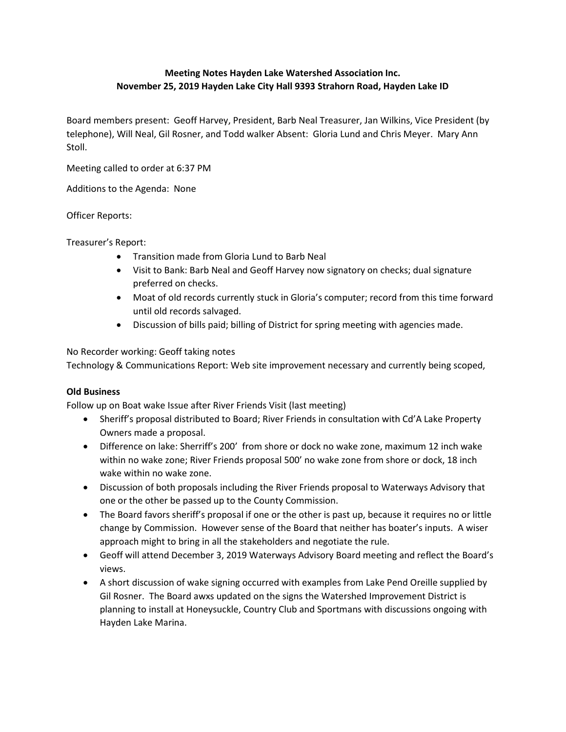## Meeting Notes Hayden Lake Watershed Association Inc. November 25, 2019 Hayden Lake City Hall 9393 Strahorn Road, Hayden Lake ID

Board members present: Geoff Harvey, President, Barb Neal Treasurer, Jan Wilkins, Vice President (by telephone), Will Neal, Gil Rosner, and Todd walker Absent: Gloria Lund and Chris Meyer. Mary Ann Stoll.

Meeting called to order at 6:37 PM

Additions to the Agenda: None

Officer Reports:

Treasurer's Report:

- Transition made from Gloria Lund to Barb Neal
- Visit to Bank: Barb Neal and Geoff Harvey now signatory on checks; dual signature preferred on checks.
- Moat of old records currently stuck in Gloria's computer; record from this time forward until old records salvaged.
- Discussion of bills paid; billing of District for spring meeting with agencies made.

No Recorder working: Geoff taking notes

Technology & Communications Report: Web site improvement necessary and currently being scoped,

## Old Business

Follow up on Boat wake Issue after River Friends Visit (last meeting)

- Sheriff's proposal distributed to Board; River Friends in consultation with Cd'A Lake Property Owners made a proposal.
- Difference on lake: Sherriff's 200' from shore or dock no wake zone, maximum 12 inch wake within no wake zone; River Friends proposal 500' no wake zone from shore or dock, 18 inch wake within no wake zone.
- Discussion of both proposals including the River Friends proposal to Waterways Advisory that one or the other be passed up to the County Commission.
- The Board favors sheriff's proposal if one or the other is past up, because it requires no or little change by Commission. However sense of the Board that neither has boater's inputs. A wiser approach might to bring in all the stakeholders and negotiate the rule.
- Geoff will attend December 3, 2019 Waterways Advisory Board meeting and reflect the Board's views.
- A short discussion of wake signing occurred with examples from Lake Pend Oreille supplied by Gil Rosner. The Board awxs updated on the signs the Watershed Improvement District is planning to install at Honeysuckle, Country Club and Sportmans with discussions ongoing with Hayden Lake Marina.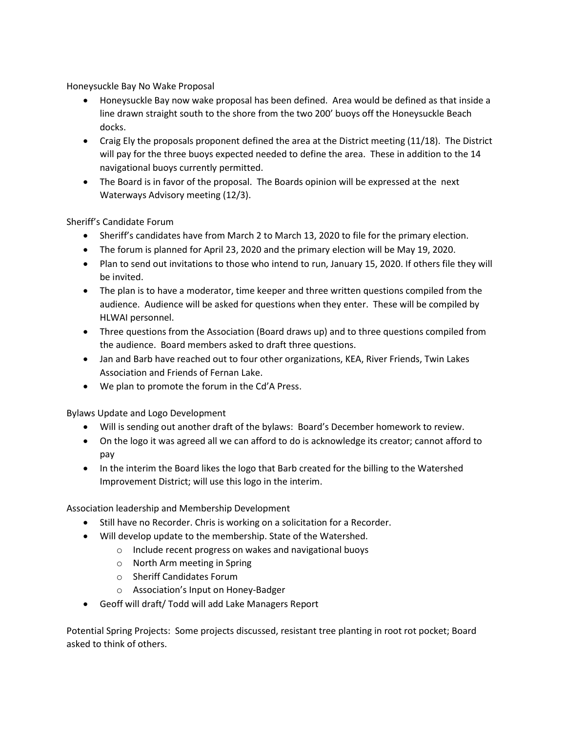Honeysuckle Bay No Wake Proposal

- Honeysuckle Bay now wake proposal has been defined. Area would be defined as that inside a line drawn straight south to the shore from the two 200' buoys off the Honeysuckle Beach docks.
- Craig Ely the proposals proponent defined the area at the District meeting (11/18). The District will pay for the three buoys expected needed to define the area. These in addition to the 14 navigational buoys currently permitted.
- The Board is in favor of the proposal. The Boards opinion will be expressed at the next Waterways Advisory meeting (12/3).

Sheriff's Candidate Forum

- Sheriff's candidates have from March 2 to March 13, 2020 to file for the primary election.
- The forum is planned for April 23, 2020 and the primary election will be May 19, 2020.
- Plan to send out invitations to those who intend to run, January 15, 2020. If others file they will be invited.
- The plan is to have a moderator, time keeper and three written questions compiled from the audience. Audience will be asked for questions when they enter. These will be compiled by HLWAI personnel.
- Three questions from the Association (Board draws up) and to three questions compiled from the audience. Board members asked to draft three questions.
- Jan and Barb have reached out to four other organizations, KEA, River Friends, Twin Lakes Association and Friends of Fernan Lake.
- We plan to promote the forum in the Cd'A Press.

Bylaws Update and Logo Development

- Will is sending out another draft of the bylaws: Board's December homework to review.
- On the logo it was agreed all we can afford to do is acknowledge its creator; cannot afford to pay
- In the interim the Board likes the logo that Barb created for the billing to the Watershed Improvement District; will use this logo in the interim.

Association leadership and Membership Development

- Still have no Recorder. Chris is working on a solicitation for a Recorder.
- Will develop update to the membership. State of the Watershed.
	- o Include recent progress on wakes and navigational buoys
	- o North Arm meeting in Spring
	- o Sheriff Candidates Forum
	- o Association's Input on Honey-Badger
- Geoff will draft/ Todd will add Lake Managers Report

Potential Spring Projects: Some projects discussed, resistant tree planting in root rot pocket; Board asked to think of others.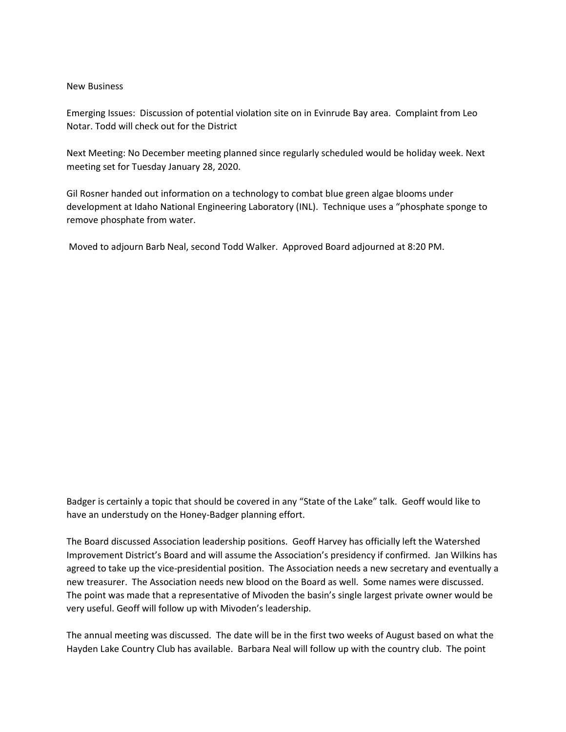## New Business

Emerging Issues: Discussion of potential violation site on in Evinrude Bay area. Complaint from Leo Notar. Todd will check out for the District

Next Meeting: No December meeting planned since regularly scheduled would be holiday week. Next meeting set for Tuesday January 28, 2020.

Gil Rosner handed out information on a technology to combat blue green algae blooms under development at Idaho National Engineering Laboratory (INL). Technique uses a "phosphate sponge to remove phosphate from water.

Moved to adjourn Barb Neal, second Todd Walker. Approved Board adjourned at 8:20 PM.

Badger is certainly a topic that should be covered in any "State of the Lake" talk. Geoff would like to have an understudy on the Honey-Badger planning effort.

The Board discussed Association leadership positions. Geoff Harvey has officially left the Watershed Improvement District's Board and will assume the Association's presidency if confirmed. Jan Wilkins has agreed to take up the vice-presidential position. The Association needs a new secretary and eventually a new treasurer. The Association needs new blood on the Board as well. Some names were discussed. The point was made that a representative of Mivoden the basin's single largest private owner would be very useful. Geoff will follow up with Mivoden's leadership.

The annual meeting was discussed. The date will be in the first two weeks of August based on what the Hayden Lake Country Club has available. Barbara Neal will follow up with the country club. The point